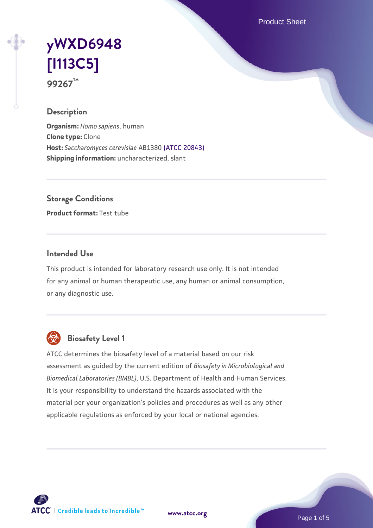Product Sheet

# **[yWXD6948](https://www.atcc.org/products/99267) [\[I113C5\]](https://www.atcc.org/products/99267) 99267™**

## **Description**

**Organism:** *Homo sapiens*, human **Clone type:** Clone **Host:** *Saccharomyces cerevisiae* AB1380 [\(ATCC 20843\)](https://www.atcc.org/products/20843) **Shipping information:** uncharacterized, slant

**Storage Conditions**

**Product format:** Test tube

## **Intended Use**

This product is intended for laboratory research use only. It is not intended for any animal or human therapeutic use, any human or animal consumption, or any diagnostic use.



## **Biosafety Level 1**

ATCC determines the biosafety level of a material based on our risk assessment as guided by the current edition of *Biosafety in Microbiological and Biomedical Laboratories (BMBL)*, U.S. Department of Health and Human Services. It is your responsibility to understand the hazards associated with the material per your organization's policies and procedures as well as any other applicable regulations as enforced by your local or national agencies.

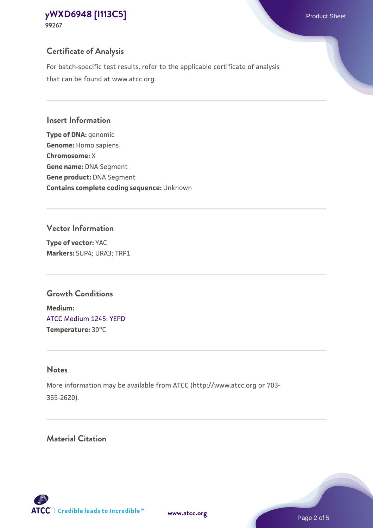## **Certificate of Analysis**

For batch-specific test results, refer to the applicable certificate of analysis that can be found at www.atcc.org.

#### **Insert Information**

**Type of DNA:** genomic **Genome:** Homo sapiens **Chromosome:** X **Gene name:** DNA Segment **Gene product:** DNA Segment **Contains complete coding sequence:** Unknown

#### **Vector Information**

**Type of vector:** YAC **Markers:** SUP4; URA3; TRP1

## **Growth Conditions**

**Medium:**  [ATCC Medium 1245: YEPD](https://www.atcc.org/-/media/product-assets/documents/microbial-media-formulations/1/2/4/5/atcc-medium-1245.pdf?rev=705ca55d1b6f490a808a965d5c072196) **Temperature:** 30°C

## **Notes**

More information may be available from ATCC (http://www.atcc.org or 703- 365-2620).

## **Material Citation**

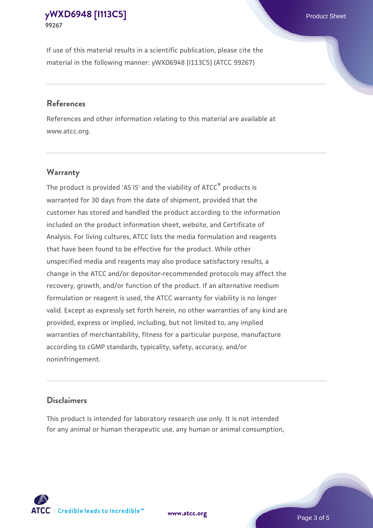If use of this material results in a scientific publication, please cite the material in the following manner: yWXD6948 [I113C5] (ATCC 99267)

#### **References**

References and other information relating to this material are available at www.atcc.org.

## **Warranty**

The product is provided 'AS IS' and the viability of  $ATCC<sup>®</sup>$  products is warranted for 30 days from the date of shipment, provided that the customer has stored and handled the product according to the information included on the product information sheet, website, and Certificate of Analysis. For living cultures, ATCC lists the media formulation and reagents that have been found to be effective for the product. While other unspecified media and reagents may also produce satisfactory results, a change in the ATCC and/or depositor-recommended protocols may affect the recovery, growth, and/or function of the product. If an alternative medium formulation or reagent is used, the ATCC warranty for viability is no longer valid. Except as expressly set forth herein, no other warranties of any kind are provided, express or implied, including, but not limited to, any implied warranties of merchantability, fitness for a particular purpose, manufacture according to cGMP standards, typicality, safety, accuracy, and/or noninfringement.

#### **Disclaimers**

This product is intended for laboratory research use only. It is not intended for any animal or human therapeutic use, any human or animal consumption,





Page 3 of 5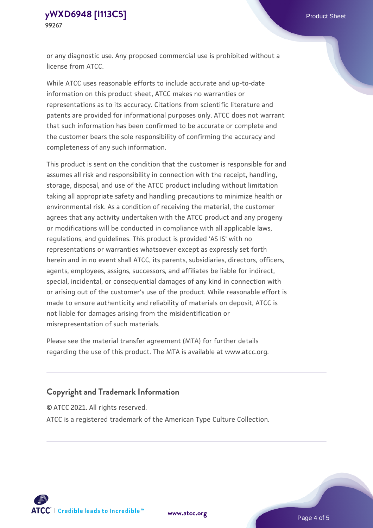or any diagnostic use. Any proposed commercial use is prohibited without a license from ATCC.

While ATCC uses reasonable efforts to include accurate and up-to-date information on this product sheet, ATCC makes no warranties or representations as to its accuracy. Citations from scientific literature and patents are provided for informational purposes only. ATCC does not warrant that such information has been confirmed to be accurate or complete and the customer bears the sole responsibility of confirming the accuracy and completeness of any such information.

This product is sent on the condition that the customer is responsible for and assumes all risk and responsibility in connection with the receipt, handling, storage, disposal, and use of the ATCC product including without limitation taking all appropriate safety and handling precautions to minimize health or environmental risk. As a condition of receiving the material, the customer agrees that any activity undertaken with the ATCC product and any progeny or modifications will be conducted in compliance with all applicable laws, regulations, and guidelines. This product is provided 'AS IS' with no representations or warranties whatsoever except as expressly set forth herein and in no event shall ATCC, its parents, subsidiaries, directors, officers, agents, employees, assigns, successors, and affiliates be liable for indirect, special, incidental, or consequential damages of any kind in connection with or arising out of the customer's use of the product. While reasonable effort is made to ensure authenticity and reliability of materials on deposit, ATCC is not liable for damages arising from the misidentification or misrepresentation of such materials.

Please see the material transfer agreement (MTA) for further details regarding the use of this product. The MTA is available at www.atcc.org.

## **Copyright and Trademark Information**

© ATCC 2021. All rights reserved.

ATCC is a registered trademark of the American Type Culture Collection.



**[www.atcc.org](http://www.atcc.org)**

Page 4 of 5